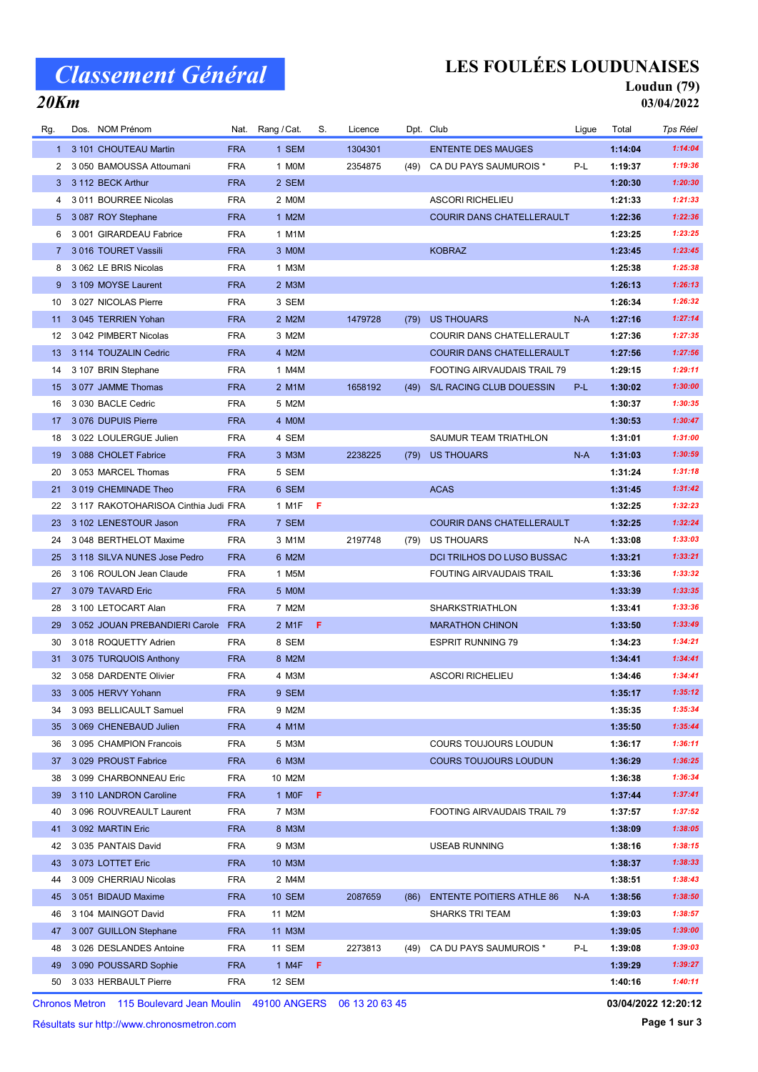# Classement Général

20Km

## LES FOULÉES LOUDUNAISES

## Loudun (79)

03/04/2022

| Rg.         | Dos. NOM Prénom                               | Nat.                     | Rang / Cat.    | S. | Licence |      | Dpt. Club                        | Ligue | Total              | Tps Réel           |
|-------------|-----------------------------------------------|--------------------------|----------------|----|---------|------|----------------------------------|-------|--------------------|--------------------|
|             | 1 3 101 CHOUTEAU Martin                       | <b>FRA</b>               | 1 SEM          |    | 1304301 |      | <b>ENTENTE DES MAUGES</b>        |       | 1:14:04            | 1:14:04            |
| 2           | 3 050 BAMOUSSA Attoumani                      | <b>FRA</b>               | 1 MOM          |    | 2354875 | (49) | CA DU PAYS SAUMUROIS *           | P-L   | 1:19:37            | 1:19:36            |
| 3           | 3 112 BECK Arthur                             | <b>FRA</b>               | 2 SEM          |    |         |      |                                  |       | 1:20:30            | 1:20:30            |
| 4           | 3 011 BOURREE Nicolas                         | <b>FRA</b>               | 2 MOM          |    |         |      | <b>ASCORI RICHELIEU</b>          |       | 1:21:33            | 1:21:33            |
|             | 5 3 087 ROY Stephane                          | <b>FRA</b>               | 1 M2M          |    |         |      | <b>COURIR DANS CHATELLERAULT</b> |       | 1:22:36            | 1:22:36            |
| 6           | 3 001 GIRARDEAU Fabrice                       | <b>FRA</b>               | 1 M1M          |    |         |      |                                  |       | 1:23:25            | 1:23:25            |
| $7^{\circ}$ | 3 016 TOURET Vassili                          | <b>FRA</b>               | 3 MOM          |    |         |      | <b>KOBRAZ</b>                    |       | 1:23:45            | 1:23:45            |
| 8           | 3 062 LE BRIS Nicolas                         | <b>FRA</b>               | 1 M3M          |    |         |      |                                  |       | 1:25:38            | 1:25:38            |
| 9           | 3 109 MOYSE Laurent                           | <b>FRA</b>               | 2 M3M          |    |         |      |                                  |       | 1:26:13            | 1:26:13            |
| 10          | 3 027 NICOLAS Pierre                          | <b>FRA</b>               | 3 SEM          |    |         |      |                                  |       | 1:26:34            | 1:26:32            |
| 11          | 3 045 TERRIEN Yohan                           | <b>FRA</b>               | 2 M2M          |    | 1479728 | (79) | <b>US THOUARS</b>                | $N-A$ | 1:27:16            | 1:27:14            |
| 12          | 3 042 PIMBERT Nicolas                         | <b>FRA</b>               | 3 M2M          |    |         |      | COURIR DANS CHATELLERAULT        |       | 1:27:36            | 1:27:35            |
| 13          | 3 114 TOUZALIN Cedric                         | <b>FRA</b>               | 4 M2M          |    |         |      | COURIR DANS CHATELLERAULT        |       | 1:27:56            | 1:27:56            |
| 14          | 3 107 BRIN Stephane                           | <b>FRA</b>               | 1 M4M          |    |         |      | FOOTING AIRVAUDAIS TRAIL 79      |       | 1:29:15            | 1:29:11            |
| 15          | 3 077 JAMME Thomas                            | <b>FRA</b>               | 2 M1M          |    | 1658192 | (49) | S/L RACING CLUB DOUESSIN         | P-L   | 1:30:02            | 1:30:00            |
| 16          | 3 030 BACLE Cedric                            | <b>FRA</b>               | 5 M2M          |    |         |      |                                  |       | 1:30:37            | 1:30:35            |
| 17          | 3 076 DUPUIS Pierre                           | <b>FRA</b>               | 4 MOM          |    |         |      |                                  |       | 1:30:53            | 1:30:47            |
| 18          | 3 022 LOULERGUE Julien                        | <b>FRA</b>               | 4 SEM          |    |         |      | SAUMUR TEAM TRIATHLON            |       | 1:31:01            | 1:31:00            |
| 19          | 3 088 CHOLET Fabrice                          | <b>FRA</b>               | 3 M3M          |    | 2238225 | (79) | <b>US THOUARS</b>                | $N-A$ | 1:31:03            | 1:30:59            |
| 20          | 3 053 MARCEL Thomas                           | <b>FRA</b>               | 5 SEM          |    |         |      |                                  |       | 1:31:24            | 1:31:18            |
| 21          | 3019 CHEMINADE Theo                           | <b>FRA</b>               | 6 SEM          |    |         |      | <b>ACAS</b>                      |       | 1:31:45            | 1:31:42            |
| 22          | 3 117 RAKOTOHARISOA Cinthia Judi FRA          |                          | 1 M1F          | F  |         |      |                                  |       | 1:32:25            | 1:32:23            |
| 23          | 3 102 LENESTOUR Jason                         | <b>FRA</b>               | 7 SEM          |    |         |      | <b>COURIR DANS CHATELLERAULT</b> |       | 1:32:25            | 1:32:24            |
| 24          | 3 048 BERTHELOT Maxime                        | <b>FRA</b>               | 3 M1M          |    | 2197748 | (79) | US THOUARS                       | N-A   | 1:33:08            | 1:33:03            |
| 25          | 3 118 SILVA NUNES Jose Pedro                  | <b>FRA</b>               | 6 M2M          |    |         |      | DCI TRILHOS DO LUSO BUSSAC       |       | 1:33:21            | 1:33:21            |
| 26          | 3 106 ROULON Jean Claude                      | <b>FRA</b>               | 1 M5M          |    |         |      | FOUTING AIRVAUDAIS TRAIL         |       | 1:33:36            | 1:33:32            |
| 27          | 3 079 TAVARD Eric                             | <b>FRA</b>               | 5 MOM          |    |         |      |                                  |       | 1:33:39            | 1:33:35            |
| 28          | 3 100 LETOCART Alan                           | <b>FRA</b>               | 7 M2M          |    |         |      | <b>SHARKSTRIATHLON</b>           |       | 1:33:41            | 1:33:36            |
| 29          | 3 052 JOUAN PREBANDIERI Carole                | <b>FRA</b>               | 2 M1F          | F  |         |      | <b>MARATHON CHINON</b>           |       | 1:33:50            | 1:33:49            |
| 30          |                                               | <b>FRA</b>               | 8 SEM          |    |         |      | <b>ESPRIT RUNNING 79</b>         |       | 1:34:23            | 1:34:21            |
|             | 3018 ROQUETTY Adrien<br>3075 TURQUOIS Anthony |                          | 8 M2M          |    |         |      |                                  |       | 1:34:41            | 1:34:41            |
| 31<br>32    | 3 058 DARDENTE Olivier                        | <b>FRA</b><br><b>FRA</b> | 4 M3M          |    |         |      | <b>ASCORI RICHELIEU</b>          |       | 1:34:46            | 1:34:41            |
|             |                                               |                          | 9 SEM          |    |         |      |                                  |       |                    | 1:35:12            |
| 33          | 3 005 HERVY Yohann                            | <b>FRA</b>               |                |    |         |      |                                  |       | 1:35:17            | 1:35:34            |
| 34          | 3 093 BELLICAULT Samuel                       | <b>FRA</b>               | 9 M2M          |    |         |      |                                  |       | 1:35:35            |                    |
| 35          | 3 069 CHENEBAUD Julien                        | <b>FRA</b>               | 4 M1M          |    |         |      |                                  |       | 1:35:50            | 1:35:44<br>1:36:11 |
| 36          | 3 095 CHAMPION Francois                       | <b>FRA</b>               | 5 M3M          |    |         |      | <b>COURS TOUJOURS LOUDUN</b>     |       | 1:36:17            |                    |
| 37          | 3 029 PROUST Fabrice                          | <b>FRA</b>               | 6 M3M          |    |         |      | <b>COURS TOUJOURS LOUDUN</b>     |       | 1:36:29<br>1:36:38 | 1:36:25<br>1:36:34 |
| 38          | 3 099 CHARBONNEAU Eric                        | <b>FRA</b>               | 10 M2M         |    |         |      |                                  |       |                    | 1:37:41            |
| 39          | 3 110 LANDRON Caroline                        | <b>FRA</b>               | 1 MOF          | F  |         |      |                                  |       | 1:37:44            |                    |
| 40          | 3 096 ROUVREAULT Laurent                      | <b>FRA</b>               | 7 M3M          |    |         |      | FOOTING AIRVAUDAIS TRAIL 79      |       | 1:37:57            | 1:37:52            |
| 41          | 3 092 MARTIN Eric                             | <b>FRA</b>               | 8 M3M          |    |         |      |                                  |       | 1:38:09            | 1:38:05            |
| 42          | 3 035 PANTAIS David                           | <b>FRA</b>               | 9 M3M          |    |         |      | <b>USEAB RUNNING</b>             |       | 1:38:16            | 1:38:15            |
| 43          | 3 073 LOTTET Eric                             | <b>FRA</b>               | 10 M3M         |    |         |      |                                  |       | 1:38:37            | 1:38:33            |
| 44          | 3 009 CHERRIAU Nicolas                        | <b>FRA</b>               | 2 M4M          |    |         |      |                                  |       | 1:38:51            | 1:38:43            |
| 45          | 3 051 BIDAUD Maxime                           | <b>FRA</b>               | <b>10 SEM</b>  |    | 2087659 | (86) | <b>ENTENTE POITIERS ATHLE 86</b> | $N-A$ | 1:38:56            | 1:38:50            |
| 46          | 3 104 MAINGOT David                           | <b>FRA</b>               | 11 M2M         |    |         |      | <b>SHARKS TRI TEAM</b>           |       | 1:39:03            | 1:38:57            |
| 47          | 3 007 GUILLON Stephane                        | <b>FRA</b>               | 11 M3M         |    |         |      |                                  |       | 1:39:05            | 1:39:00            |
| 48          | 3 026 DESLANDES Antoine                       | <b>FRA</b>               | 11 SEM         |    | 2273813 | (49) | CA DU PAYS SAUMUROIS *           | P-L   | 1:39:08            | 1:39:03            |
| 49          | 3 090 POUSSARD Sophie                         | <b>FRA</b>               | 1 M4F <b>F</b> |    |         |      |                                  |       | 1:39:29            | 1:39:27            |
|             | 50 3 033 HERBAULT Pierre                      | <b>FRA</b>               | 12 SEM         |    |         |      |                                  |       | 1:40:16            | 1:40:11            |

Chronos Metron 115 Boulevard Jean Moulin 49100 ANGERS 06 13 20 63 45

Résultats sur http://www.chronosmetron.com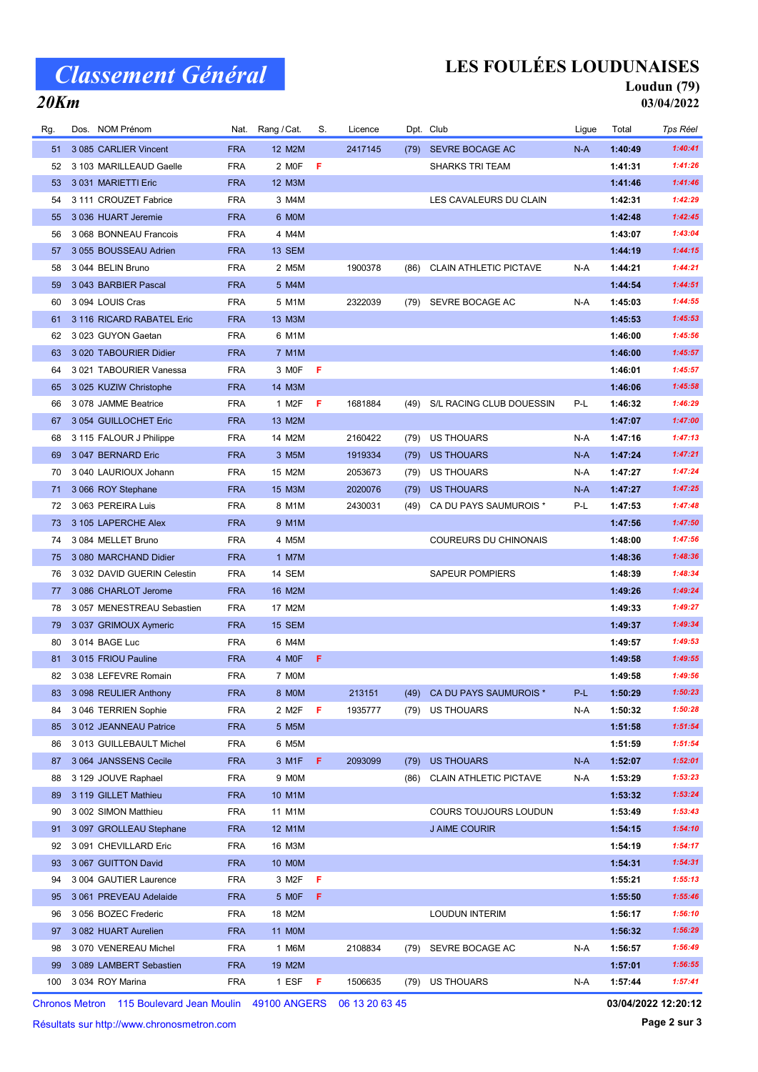# Classement Général

20Km

### LES FOULÉES LOUDUNAISES

### Loudun (79) 03/04/2022

| Rg. | Dos. NOM Prénom             | Nat.       | Rang / Cat. | S. | Licence |      | Dpt. Club                     | Ligue | Total   | Tps Réel |
|-----|-----------------------------|------------|-------------|----|---------|------|-------------------------------|-------|---------|----------|
| 51  | 3 085 CARLIER Vincent       | <b>FRA</b> | 12 M2M      |    | 2417145 | (79) | SEVRE BOCAGE AC               | N-A   | 1:40:49 | 1:40:41  |
| 52  | 3 103 MARILLEAUD Gaelle     | <b>FRA</b> | 2 MOF       | F  |         |      | <b>SHARKS TRI TEAM</b>        |       | 1:41:31 | 1:41:26  |
| 53  | 3 031 MARIETTI Eric         | <b>FRA</b> | 12 M3M      |    |         |      |                               |       | 1:41:46 | 1:41:46  |
| 54  | 3 111 CROUZET Fabrice       | <b>FRA</b> | 3 M4M       |    |         |      | LES CAVALEURS DU CLAIN        |       | 1:42:31 | 1:42:29  |
| 55  | 3 036 HUART Jeremie         | <b>FRA</b> | 6 MOM       |    |         |      |                               |       | 1:42:48 | 1:42:45  |
| 56  | 3 068 BONNEAU Francois      | <b>FRA</b> | 4 M4M       |    |         |      |                               |       | 1:43:07 | 1:43:04  |
| 57  | 3 055 BOUSSEAU Adrien       | <b>FRA</b> | 13 SEM      |    |         |      |                               |       | 1:44:19 | 1:44:15  |
| 58  | 3 044 BELIN Bruno           | <b>FRA</b> | 2 M5M       |    | 1900378 | (86) | <b>CLAIN ATHLETIC PICTAVE</b> | N-A   | 1:44:21 | 1:44:21  |
| 59  | 3 043 BARBIER Pascal        | <b>FRA</b> | 5 M4M       |    |         |      |                               |       | 1:44:54 | 1:44:51  |
| 60  | 3 094 LOUIS Cras            | <b>FRA</b> | 5 M1M       |    | 2322039 | (79) | SEVRE BOCAGE AC               | N-A   | 1:45:03 | 1:44:55  |
| 61  | 3 116 RICARD RABATEL Eric   | <b>FRA</b> | 13 M3M      |    |         |      |                               |       | 1:45:53 | 1:45:53  |
| 62  | 3 023 GUYON Gaetan          | <b>FRA</b> | 6 M1M       |    |         |      |                               |       | 1:46:00 | 1:45:56  |
| 63  | 3 020 TABOURIER Didier      | <b>FRA</b> | 7 M1M       |    |         |      |                               |       | 1:46:00 | 1:45:57  |
| 64  | 3 021 TABOURIER Vanessa     | <b>FRA</b> | 3 MOF       | -F |         |      |                               |       | 1:46:01 | 1:45:57  |
| 65  | 3 025 KUZIW Christophe      | <b>FRA</b> | 14 M3M      |    |         |      |                               |       | 1:46:06 | 1:45:58  |
| 66  | 3078 JAMME Beatrice         | <b>FRA</b> | 1 M2F       | F  | 1681884 |      | (49) S/L RACING CLUB DOUESSIN | P-L   | 1:46:32 | 1:46:29  |
| 67  | 3 054 GUILLOCHET Eric       | <b>FRA</b> | 13 M2M      |    |         |      |                               |       | 1:47:07 | 1:47:00  |
| 68  | 3 115 FALOUR J Philippe     | <b>FRA</b> | 14 M2M      |    | 2160422 | (79) | US THOUARS                    | N-A   | 1:47:16 | 1:47:13  |
| 69  | 3 047 BERNARD Eric          | <b>FRA</b> | 3 M5M       |    | 1919334 | (79) | US THOUARS                    | N-A   | 1:47:24 | 1:47:21  |
| 70  | 3 040 LAURIOUX Johann       | <b>FRA</b> | 15 M2M      |    | 2053673 | (79) | US THOUARS                    | N-A   | 1:47:27 | 1:47:24  |
| 71  | 3 066 ROY Stephane          | <b>FRA</b> | 15 M3M      |    | 2020076 | (79) | <b>US THOUARS</b>             | N-A   | 1:47:27 | 1:47:25  |
| 72  | 3 063 PEREIRA Luis          | <b>FRA</b> | 8 M1M       |    | 2430031 | (49) | CA DU PAYS SAUMUROIS *        | P-L   | 1:47:53 | 1:47:48  |
| 73  | 3 105 LAPERCHE Alex         | <b>FRA</b> | 9 M1M       |    |         |      |                               |       | 1:47:56 | 1:47:50  |
| 74  | 3 084 MELLET Bruno          | <b>FRA</b> | 4 M5M       |    |         |      | COUREURS DU CHINONAIS         |       | 1:48:00 | 1:47:56  |
| 75  | 3 080 MARCHAND Didier       | <b>FRA</b> | 1 M7M       |    |         |      |                               |       | 1:48:36 | 1:48:36  |
| 76  | 3 032 DAVID GUERIN Celestin | <b>FRA</b> | 14 SEM      |    |         |      | <b>SAPEUR POMPIERS</b>        |       | 1:48:39 | 1:48:34  |
| 77  | 3 086 CHARLOT Jerome        | <b>FRA</b> | 16 M2M      |    |         |      |                               |       | 1:49:26 | 1:49:24  |
| 78  | 3 057 MENESTREAU Sebastien  | <b>FRA</b> | 17 M2M      |    |         |      |                               |       | 1:49:33 | 1:49:27  |
| 79  | 3 037 GRIMOUX Aymeric       | <b>FRA</b> | 15 SEM      |    |         |      |                               |       | 1:49:37 | 1:49:34  |
| 80  | 3 014 BAGE Luc              | <b>FRA</b> | 6 M4M       |    |         |      |                               |       | 1:49:57 | 1:49:53  |
| 81  | 3015 FRIOU Pauline          | <b>FRA</b> | 4 MOF       | F  |         |      |                               |       | 1:49:58 | 1:49:55  |
| 82  | 3 038 LEFEVRE Romain        | <b>FRA</b> | 7 MOM       |    |         |      |                               |       | 1:49:58 | 1:49:56  |
| 83  | 3 098 REULIER Anthony       | <b>FRA</b> | 8 MOM       |    | 213151  | (49) | CA DU PAYS SAUMUROIS *        | P-L   | 1:50:29 | 1:50:23  |
| 84  | 3 046 TERRIEN Sophie        | <b>FRA</b> | 2 M2F       | F  | 1935777 | (79) | US THOUARS                    | N-A   | 1:50:32 | 1:50:28  |
| 85  | 3 012 JEANNEAU Patrice      | <b>FRA</b> | 5 M5M       |    |         |      |                               |       | 1:51:58 | 1:51:54  |
| 86  | 3 013 GUILLEBAULT Michel    | <b>FRA</b> | 6 M5M       |    |         |      |                               |       | 1:51:59 | 1:51:54  |
| 87  | 3 064 JANSSENS Cecile       | <b>FRA</b> | 3 M1F       | F  | 2093099 | (79) | <b>US THOUARS</b>             | N-A   | 1:52:07 | 1:52:01  |
| 88  | 3 129 JOUVE Raphael         | FRA        | 9 MOM       |    |         | (86) | <b>CLAIN ATHLETIC PICTAVE</b> | N-A   | 1:53:29 | 1:53:23  |
| 89  | 3 119 GILLET Mathieu        | <b>FRA</b> | 10 M1M      |    |         |      |                               |       | 1:53:32 | 1:53:24  |
| 90  | 3 002 SIMON Matthieu        | FRA        | 11 M1M      |    |         |      | COURS TOUJOURS LOUDUN         |       | 1:53:49 | 1:53:43  |
| 91  | 3 097 GROLLEAU Stephane     | <b>FRA</b> | 12 M1M      |    |         |      | J AIME COURIR                 |       | 1:54:15 | 1:54:10  |
| 92  | 3 091 CHEVILLARD Eric       | FRA        | 16 M3M      |    |         |      |                               |       | 1:54:19 | 1:54:17  |
| 93  | 3 067 GUITTON David         | <b>FRA</b> | 10 M0M      |    |         |      |                               |       | 1:54:31 | 1:54:31  |
| 94  | 3 004 GAUTIER Laurence      | <b>FRA</b> | 3 M2F       | F  |         |      |                               |       | 1:55:21 | 1:55:13  |
| 95  | 3 061 PREVEAU Adelaide      | <b>FRA</b> | 5 MOF       | F. |         |      |                               |       | 1:55:50 | 1:55:46  |
| 96  | 3 056 BOZEC Frederic        | <b>FRA</b> | 18 M2M      |    |         |      | <b>LOUDUN INTERIM</b>         |       | 1:56:17 | 1:56:10  |
| 97  | 3 082 HUART Aurelien        | <b>FRA</b> | 11 M0M      |    |         |      |                               |       | 1:56:32 | 1:56:29  |
| 98  | 3 070 VENEREAU Michel       | <b>FRA</b> | 1 M6M       |    | 2108834 | (79) | SEVRE BOCAGE AC               | N-A   | 1:56:57 | 1:56:49  |
| 99  | 3 089 LAMBERT Sebastien     | <b>FRA</b> | 19 M2M      |    |         |      |                               |       | 1:57:01 | 1:56:55  |
| 100 | 3 034 ROY Marina            | <b>FRA</b> | 1 ESF       | F  | 1506635 | (79) | US THOUARS                    | N-A   | 1:57:44 | 1:57:41  |

Chronos Metron 115 Boulevard Jean Moulin 49100 ANGERS 06 13 20 63 45

Résultats sur http://www.chronosmetron.com